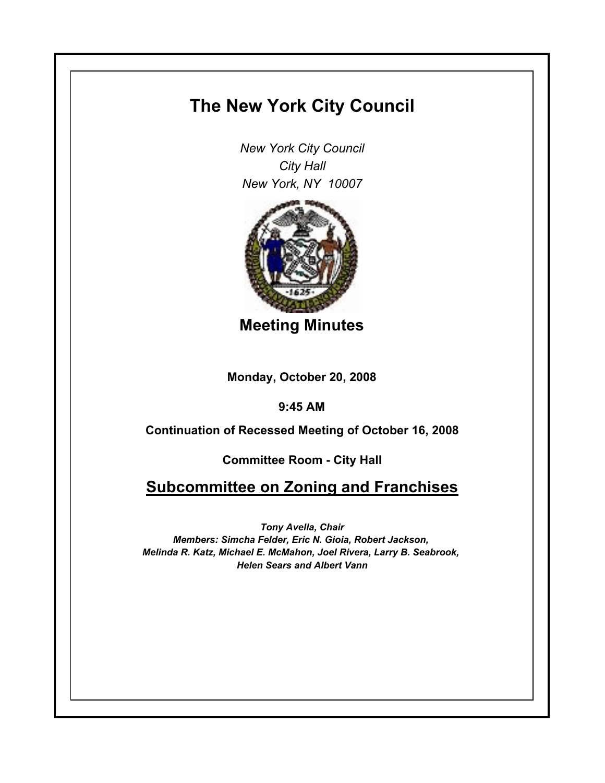## **The New York City Council**

*New York City Council City Hall New York, NY 10007*



**Meeting Minutes**

**Monday, October 20, 2008**

**9:45 AM**

**Continuation of Recessed Meeting of October 16, 2008**

**Committee Room - City Hall**

**Subcommittee on Zoning and Franchises**

*Tony Avella, Chair Members: Simcha Felder, Eric N. Gioia, Robert Jackson, Melinda R. Katz, Michael E. McMahon, Joel Rivera, Larry B. Seabrook, Helen Sears and Albert Vann*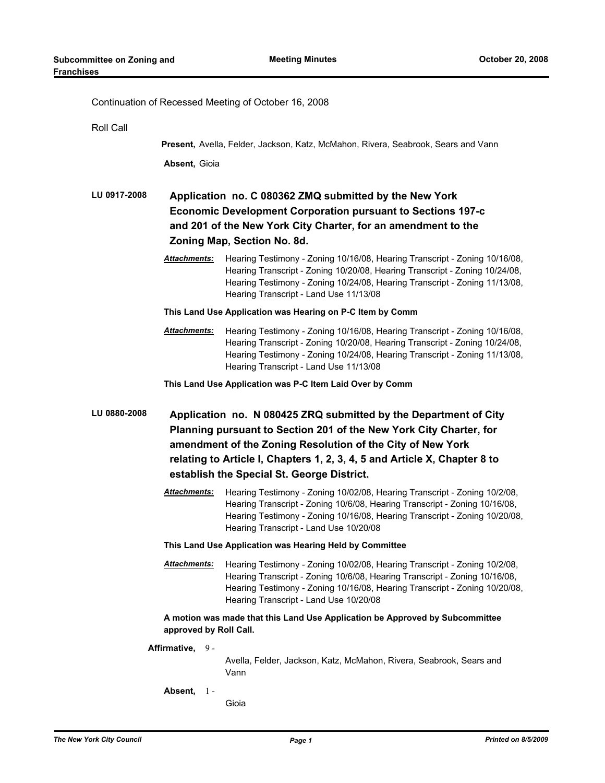| Continuation of Recessed Meeting of October 16, 2008 |                                                                                                                                                                                                                                                                                   |  |
|------------------------------------------------------|-----------------------------------------------------------------------------------------------------------------------------------------------------------------------------------------------------------------------------------------------------------------------------------|--|
| Roll Call                                            |                                                                                                                                                                                                                                                                                   |  |
|                                                      | Present, Avella, Felder, Jackson, Katz, McMahon, Rivera, Seabrook, Sears and Vann                                                                                                                                                                                                 |  |
| Absent, Gioia                                        |                                                                                                                                                                                                                                                                                   |  |
| LU 0917-2008                                         | Application no. C 080362 ZMQ submitted by the New York<br><b>Economic Development Corporation pursuant to Sections 197-c</b><br>and 201 of the New York City Charter, for an amendment to the<br>Zoning Map, Section No. 8d.                                                      |  |
| <u> Attachments:</u>                                 | Hearing Testimony - Zoning 10/16/08, Hearing Transcript - Zoning 10/16/08,<br>Hearing Transcript - Zoning 10/20/08, Hearing Transcript - Zoning 10/24/08,<br>Hearing Testimony - Zoning 10/24/08, Hearing Transcript - Zoning 11/13/08,<br>Hearing Transcript - Land Use 11/13/08 |  |
|                                                      | This Land Use Application was Hearing on P-C Item by Comm                                                                                                                                                                                                                         |  |
| Attachments:                                         | Hearing Testimony - Zoning 10/16/08, Hearing Transcript - Zoning 10/16/08,<br>Hearing Transcript - Zoning 10/20/08, Hearing Transcript - Zoning 10/24/08,<br>Hearing Testimony - Zoning 10/24/08, Hearing Transcript - Zoning 11/13/08,<br>Hearing Transcript - Land Use 11/13/08 |  |
|                                                      | This Land Use Application was P-C Item Laid Over by Comm                                                                                                                                                                                                                          |  |
| LU 0880-2008                                         | Application no. N 080425 ZRQ submitted by the Department of City<br>Planning pursuant to Section 201 of the New York City Charter, for<br>amendment of the Zoning Resolution of the City of New York                                                                              |  |
|                                                      | relating to Article I, Chapters 1, 2, 3, 4, 5 and Article X, Chapter 8 to                                                                                                                                                                                                         |  |
|                                                      | establish the Special St. George District.                                                                                                                                                                                                                                        |  |
| <u> Attachments:</u>                                 | Hearing Testimony - Zoning 10/02/08, Hearing Transcript - Zoning 10/2/08,<br>Hearing Transcript - Zoning 10/6/08, Hearing Transcript - Zoning 10/16/08,<br>Hearing Testimony - Zoning 10/16/08, Hearing Transcript - Zoning 10/20/08,<br>Hearing Transcript - Land Use 10/20/08   |  |
|                                                      | This Land Use Application was Hearing Held by Committee                                                                                                                                                                                                                           |  |
| Attachments:                                         | Hearing Testimony - Zoning 10/02/08, Hearing Transcript - Zoning 10/2/08,<br>Hearing Transcript - Zoning 10/6/08, Hearing Transcript - Zoning 10/16/08,<br>Hearing Testimony - Zoning 10/16/08, Hearing Transcript - Zoning 10/20/08,<br>Hearing Transcript - Land Use 10/20/08   |  |
| approved by Roll Call.                               | A motion was made that this Land Use Application be Approved by Subcommittee                                                                                                                                                                                                      |  |
| Affirmative, 9-                                      | Avella, Felder, Jackson, Katz, McMahon, Rivera, Seabrook, Sears and<br>Vann                                                                                                                                                                                                       |  |
| Absent,<br>$1 -$                                     | Gioia                                                                                                                                                                                                                                                                             |  |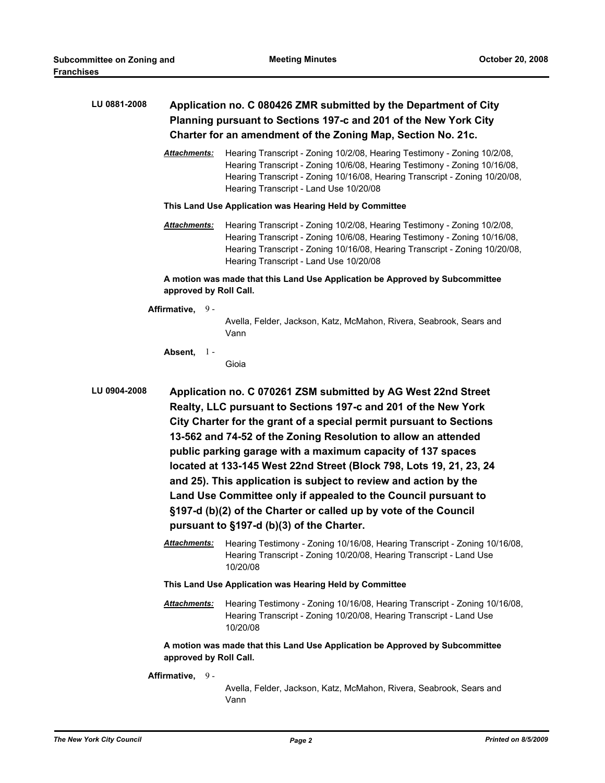| LU 0881-2008 |                        | Application no. C 080426 ZMR submitted by the Department of City<br>Planning pursuant to Sections 197-c and 201 of the New York City<br>Charter for an amendment of the Zoning Map, Section No. 21c.                                                                                                                                                                                                                                                                                                                                                 |
|--------------|------------------------|------------------------------------------------------------------------------------------------------------------------------------------------------------------------------------------------------------------------------------------------------------------------------------------------------------------------------------------------------------------------------------------------------------------------------------------------------------------------------------------------------------------------------------------------------|
|              | Attachments:           | Hearing Transcript - Zoning 10/2/08, Hearing Testimony - Zoning 10/2/08,<br>Hearing Transcript - Zoning 10/6/08, Hearing Testimony - Zoning 10/16/08,<br>Hearing Transcript - Zoning 10/16/08, Hearing Transcript - Zoning 10/20/08,<br>Hearing Transcript - Land Use 10/20/08                                                                                                                                                                                                                                                                       |
|              |                        | This Land Use Application was Hearing Held by Committee                                                                                                                                                                                                                                                                                                                                                                                                                                                                                              |
|              | Attachments:           | Hearing Transcript - Zoning 10/2/08, Hearing Testimony - Zoning 10/2/08,<br>Hearing Transcript - Zoning 10/6/08, Hearing Testimony - Zoning 10/16/08,<br>Hearing Transcript - Zoning 10/16/08, Hearing Transcript - Zoning 10/20/08,<br>Hearing Transcript - Land Use 10/20/08                                                                                                                                                                                                                                                                       |
|              | approved by Roll Call. | A motion was made that this Land Use Application be Approved by Subcommittee                                                                                                                                                                                                                                                                                                                                                                                                                                                                         |
|              | Affirmative, 9-        |                                                                                                                                                                                                                                                                                                                                                                                                                                                                                                                                                      |
|              |                        | Avella, Felder, Jackson, Katz, McMahon, Rivera, Seabrook, Sears and<br>Vann                                                                                                                                                                                                                                                                                                                                                                                                                                                                          |
|              | Absent,<br>$1 -$       |                                                                                                                                                                                                                                                                                                                                                                                                                                                                                                                                                      |
|              |                        | Gioia                                                                                                                                                                                                                                                                                                                                                                                                                                                                                                                                                |
| LU 0904-2008 |                        | Application no. C 070261 ZSM submitted by AG West 22nd Street<br>Realty, LLC pursuant to Sections 197-c and 201 of the New York<br>City Charter for the grant of a special permit pursuant to Sections<br>13-562 and 74-52 of the Zoning Resolution to allow an attended<br>public parking garage with a maximum capacity of 137 spaces<br>located at 133-145 West 22nd Street (Block 798, Lots 19, 21, 23, 24<br>and 25). This application is subject to review and action by the<br>Land Use Committee only if appealed to the Council pursuant to |
|              |                        | §197-d (b)(2) of the Charter or called up by vote of the Council<br>pursuant to §197-d (b)(3) of the Charter.                                                                                                                                                                                                                                                                                                                                                                                                                                        |
|              | Attachments:           | Hearing Testimony - Zoning 10/16/08, Hearing Transcript - Zoning 10/16/08,<br>Hearing Transcript - Zoning 10/20/08, Hearing Transcript - Land Use<br>10/20/08                                                                                                                                                                                                                                                                                                                                                                                        |
|              |                        | This Land Use Application was Hearing Held by Committee                                                                                                                                                                                                                                                                                                                                                                                                                                                                                              |
|              | Attachments:           | Hearing Testimony - Zoning 10/16/08, Hearing Transcript - Zoning 10/16/08,<br>Hearing Transcript - Zoning 10/20/08, Hearing Transcript - Land Use<br>10/20/08                                                                                                                                                                                                                                                                                                                                                                                        |
|              | approved by Roll Call. | A motion was made that this Land Use Application be Approved by Subcommittee                                                                                                                                                                                                                                                                                                                                                                                                                                                                         |
|              | Affirmative, 9-        |                                                                                                                                                                                                                                                                                                                                                                                                                                                                                                                                                      |
|              |                        | Avella, Felder, Jackson, Katz, McMahon, Rivera, Seabrook, Sears and<br>Vann                                                                                                                                                                                                                                                                                                                                                                                                                                                                          |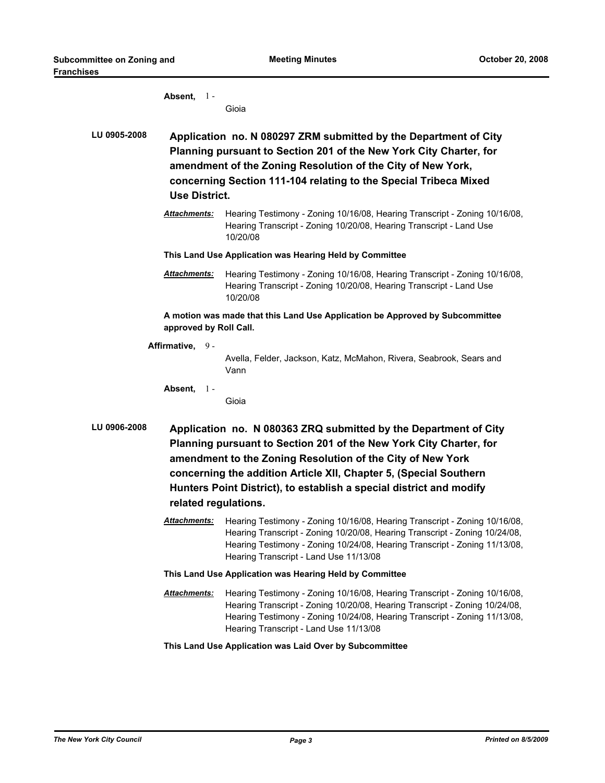|              | Absent, $1 -$          | Gioia                                                                                                                                                                                                                                                                                                                                            |
|--------------|------------------------|--------------------------------------------------------------------------------------------------------------------------------------------------------------------------------------------------------------------------------------------------------------------------------------------------------------------------------------------------|
| LU 0905-2008 | <b>Use District.</b>   | Application no. N 080297 ZRM submitted by the Department of City<br>Planning pursuant to Section 201 of the New York City Charter, for<br>amendment of the Zoning Resolution of the City of New York,<br>concerning Section 111-104 relating to the Special Tribeca Mixed                                                                        |
|              | Attachments:           | Hearing Testimony - Zoning 10/16/08, Hearing Transcript - Zoning 10/16/08,<br>Hearing Transcript - Zoning 10/20/08, Hearing Transcript - Land Use<br>10/20/08                                                                                                                                                                                    |
|              |                        | This Land Use Application was Hearing Held by Committee                                                                                                                                                                                                                                                                                          |
|              | <b>Attachments:</b>    | Hearing Testimony - Zoning 10/16/08, Hearing Transcript - Zoning 10/16/08,<br>Hearing Transcript - Zoning 10/20/08, Hearing Transcript - Land Use<br>10/20/08                                                                                                                                                                                    |
|              | approved by Roll Call. | A motion was made that this Land Use Application be Approved by Subcommittee                                                                                                                                                                                                                                                                     |
|              | Affirmative, 9-        | Avella, Felder, Jackson, Katz, McMahon, Rivera, Seabrook, Sears and<br>Vann                                                                                                                                                                                                                                                                      |
|              | Absent, $1 -$          | Gioia                                                                                                                                                                                                                                                                                                                                            |
| LU 0906-2008 | related regulations.   | Application no. N 080363 ZRQ submitted by the Department of City<br>Planning pursuant to Section 201 of the New York City Charter, for<br>amendment to the Zoning Resolution of the City of New York<br>concerning the addition Article XII, Chapter 5, (Special Southern<br>Hunters Point District), to establish a special district and modify |
|              | <b>Attachments:</b>    | Hearing Testimony - Zoning 10/16/08, Hearing Transcript - Zoning 10/16/08,<br>Hearing Transcript - Zoning 10/20/08, Hearing Transcript - Zoning 10/24/08,<br>Hearing Testimony - Zoning 10/24/08, Hearing Transcript - Zoning 11/13/08,<br>Hearing Transcript - Land Use 11/13/08                                                                |
|              |                        | This Land Use Application was Hearing Held by Committee                                                                                                                                                                                                                                                                                          |
|              | <b>Attachments:</b>    | Hearing Testimony - Zoning 10/16/08, Hearing Transcript - Zoning 10/16/08,<br>Hearing Transcript - Zoning 10/20/08, Hearing Transcript - Zoning 10/24/08,<br>Hearing Testimony - Zoning 10/24/08, Hearing Transcript - Zoning 11/13/08,<br>Hearing Transcript - Land Use 11/13/08                                                                |
|              |                        | This Land Use Application was Laid Over by Subcommittee                                                                                                                                                                                                                                                                                          |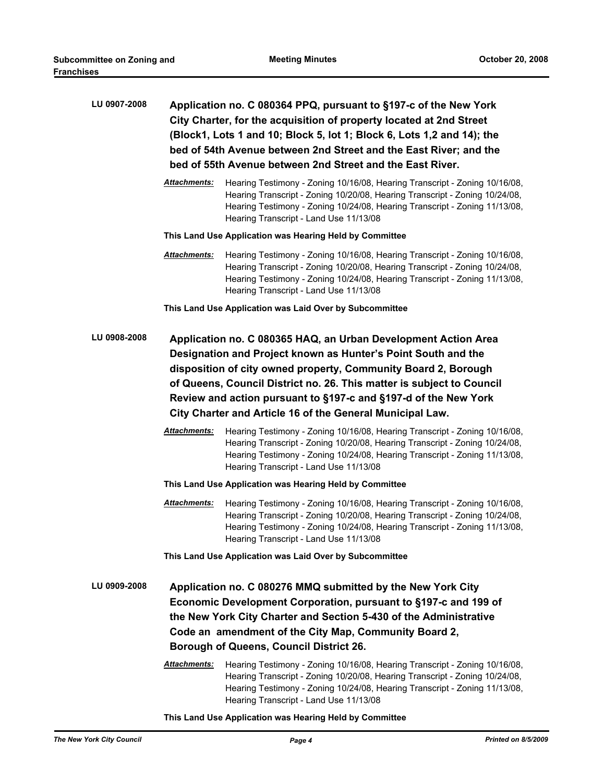| LU 0907-2008 |              | Application no. C 080364 PPQ, pursuant to §197-c of the New York<br>City Charter, for the acquisition of property located at 2nd Street<br>(Block1, Lots 1 and 10; Block 5, lot 1; Block 6, Lots 1,2 and 14); the<br>bed of 54th Avenue between 2nd Street and the East River; and the<br>bed of 55th Avenue between 2nd Street and the East River.                                                        |
|--------------|--------------|------------------------------------------------------------------------------------------------------------------------------------------------------------------------------------------------------------------------------------------------------------------------------------------------------------------------------------------------------------------------------------------------------------|
|              | Attachments: | Hearing Testimony - Zoning 10/16/08, Hearing Transcript - Zoning 10/16/08,<br>Hearing Transcript - Zoning 10/20/08, Hearing Transcript - Zoning 10/24/08,<br>Hearing Testimony - Zoning 10/24/08, Hearing Transcript - Zoning 11/13/08,<br>Hearing Transcript - Land Use 11/13/08                                                                                                                          |
|              |              | This Land Use Application was Hearing Held by Committee                                                                                                                                                                                                                                                                                                                                                    |
|              | Attachments: | Hearing Testimony - Zoning 10/16/08, Hearing Transcript - Zoning 10/16/08,<br>Hearing Transcript - Zoning 10/20/08, Hearing Transcript - Zoning 10/24/08,<br>Hearing Testimony - Zoning 10/24/08, Hearing Transcript - Zoning 11/13/08,<br>Hearing Transcript - Land Use 11/13/08                                                                                                                          |
|              |              | This Land Use Application was Laid Over by Subcommittee                                                                                                                                                                                                                                                                                                                                                    |
| LU 0908-2008 |              | Application no. C 080365 HAQ, an Urban Development Action Area<br>Designation and Project known as Hunter's Point South and the<br>disposition of city owned property, Community Board 2, Borough<br>of Queens, Council District no. 26. This matter is subject to Council<br>Review and action pursuant to §197-c and §197-d of the New York<br>City Charter and Article 16 of the General Municipal Law. |
|              | Attachments: | Hearing Testimony - Zoning 10/16/08, Hearing Transcript - Zoning 10/16/08,<br>Hearing Transcript - Zoning 10/20/08, Hearing Transcript - Zoning 10/24/08,<br>Hearing Testimony - Zoning 10/24/08, Hearing Transcript - Zoning 11/13/08,<br>Hearing Transcript - Land Use 11/13/08                                                                                                                          |
|              |              | This Land Use Application was Hearing Held by Committee                                                                                                                                                                                                                                                                                                                                                    |
|              | Attachments: | Hearing Testimony - Zoning 10/16/08, Hearing Transcript - Zoning 10/16/08,<br>Hearing Transcript - Zoning 10/20/08, Hearing Transcript - Zoning 10/24/08,<br>Hearing Testimony - Zoning 10/24/08, Hearing Transcript - Zoning 11/13/08,<br>Hearing Transcript - Land Use 11/13/08                                                                                                                          |
|              |              | This Land Use Application was Laid Over by Subcommittee                                                                                                                                                                                                                                                                                                                                                    |
| LU 0909-2008 | Attachments: | Application no. C 080276 MMQ submitted by the New York City<br>Economic Development Corporation, pursuant to §197-c and 199 of<br>the New York City Charter and Section 5-430 of the Administrative<br>Code an amendment of the City Map, Community Board 2,<br>Borough of Queens, Council District 26.<br>Hearing Testimony - Zoning 10/16/08, Hearing Transcript - Zoning 10/16/08,                      |
|              |              | Hearing Transcript - Zoning 10/20/08, Hearing Transcript - Zoning 10/24/08,<br>Hearing Testimony - Zoning 10/24/08, Hearing Transcript - Zoning 11/13/08,<br>Hearing Transcript - Land Use 11/13/08                                                                                                                                                                                                        |

**This Land Use Application was Hearing Held by Committee**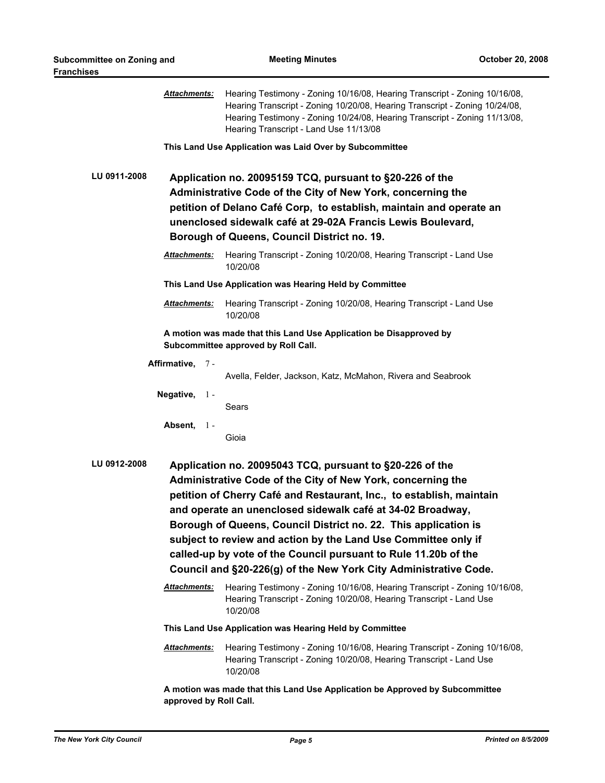|              | <u> Attachments:</u>   | Hearing Testimony - Zoning 10/16/08, Hearing Transcript - Zoning 10/16/08,<br>Hearing Transcript - Zoning 10/20/08, Hearing Transcript - Zoning 10/24/08,<br>Hearing Testimony - Zoning 10/24/08, Hearing Transcript - Zoning 11/13/08,<br>Hearing Transcript - Land Use 11/13/08                                                                                                                                                                                                                                                         |
|--------------|------------------------|-------------------------------------------------------------------------------------------------------------------------------------------------------------------------------------------------------------------------------------------------------------------------------------------------------------------------------------------------------------------------------------------------------------------------------------------------------------------------------------------------------------------------------------------|
|              |                        | This Land Use Application was Laid Over by Subcommittee                                                                                                                                                                                                                                                                                                                                                                                                                                                                                   |
| LU 0911-2008 |                        | Application no. 20095159 TCQ, pursuant to §20-226 of the<br>Administrative Code of the City of New York, concerning the<br>petition of Delano Café Corp, to establish, maintain and operate an<br>unenclosed sidewalk café at 29-02A Francis Lewis Boulevard,<br>Borough of Queens, Council District no. 19.                                                                                                                                                                                                                              |
|              | <b>Attachments:</b>    | Hearing Transcript - Zoning 10/20/08, Hearing Transcript - Land Use<br>10/20/08                                                                                                                                                                                                                                                                                                                                                                                                                                                           |
|              |                        | This Land Use Application was Hearing Held by Committee                                                                                                                                                                                                                                                                                                                                                                                                                                                                                   |
|              | <b>Attachments:</b>    | Hearing Transcript - Zoning 10/20/08, Hearing Transcript - Land Use<br>10/20/08                                                                                                                                                                                                                                                                                                                                                                                                                                                           |
|              |                        | A motion was made that this Land Use Application be Disapproved by<br>Subcommittee approved by Roll Call.                                                                                                                                                                                                                                                                                                                                                                                                                                 |
|              | Affirmative, 7-        |                                                                                                                                                                                                                                                                                                                                                                                                                                                                                                                                           |
|              |                        | Avella, Felder, Jackson, Katz, McMahon, Rivera and Seabrook                                                                                                                                                                                                                                                                                                                                                                                                                                                                               |
|              | Negative, 1-           | Sears                                                                                                                                                                                                                                                                                                                                                                                                                                                                                                                                     |
|              | Absent,<br>$1 -$       | Gioia                                                                                                                                                                                                                                                                                                                                                                                                                                                                                                                                     |
| LU 0912-2008 |                        | Application no. 20095043 TCQ, pursuant to §20-226 of the<br>Administrative Code of the City of New York, concerning the<br>petition of Cherry Café and Restaurant, Inc., to establish, maintain<br>and operate an unenclosed sidewalk café at 34-02 Broadway,<br>Borough of Queens, Council District no. 22. This application is<br>subject to review and action by the Land Use Committee only if<br>called-up by vote of the Council pursuant to Rule 11.20b of the<br>Council and §20-226(g) of the New York City Administrative Code. |
|              | <u> Attachments:</u>   | Hearing Testimony - Zoning 10/16/08, Hearing Transcript - Zoning 10/16/08,<br>Hearing Transcript - Zoning 10/20/08, Hearing Transcript - Land Use<br>10/20/08                                                                                                                                                                                                                                                                                                                                                                             |
|              |                        | This Land Use Application was Hearing Held by Committee                                                                                                                                                                                                                                                                                                                                                                                                                                                                                   |
|              | Attachments:           | Hearing Testimony - Zoning 10/16/08, Hearing Transcript - Zoning 10/16/08,<br>Hearing Transcript - Zoning 10/20/08, Hearing Transcript - Land Use<br>10/20/08                                                                                                                                                                                                                                                                                                                                                                             |
|              | approved by Roll Call. | A motion was made that this Land Use Application be Approved by Subcommittee                                                                                                                                                                                                                                                                                                                                                                                                                                                              |